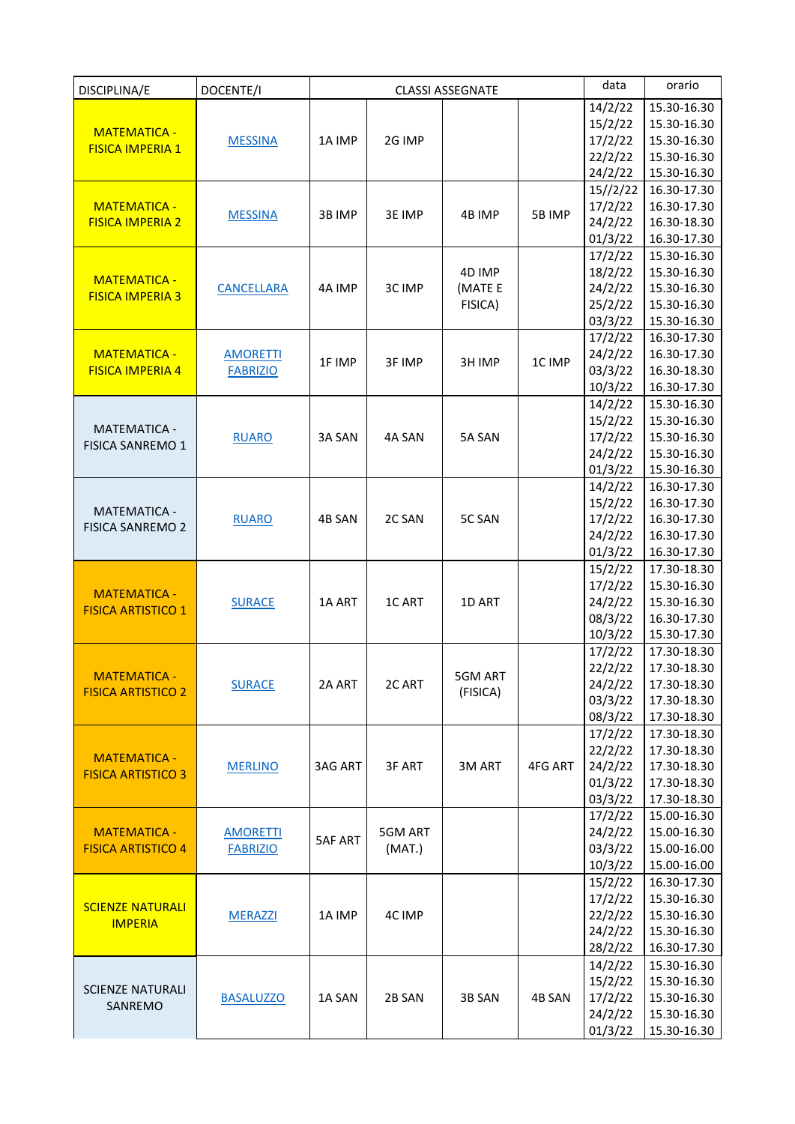| DISCIPLINA/E                                   | DOCENTE/I                          | <b>CLASSI ASSEGNATE</b> |                   |          | data    | orario             |                            |
|------------------------------------------------|------------------------------------|-------------------------|-------------------|----------|---------|--------------------|----------------------------|
|                                                |                                    |                         |                   |          |         | 14/2/22            | 15.30-16.30                |
| <b>MATEMATICA -</b><br><b>FISICA IMPERIA 1</b> |                                    | 1A IMP                  | 2G IMP            |          |         | 15/2/22            | 15.30-16.30                |
|                                                | <b>MESSINA</b>                     |                         |                   |          |         | 17/2/22            | 15.30-16.30                |
|                                                |                                    |                         |                   |          |         | 22/2/22            | 15.30-16.30                |
|                                                |                                    |                         |                   |          |         | 24/2/22            | 15.30-16.30                |
|                                                |                                    |                         |                   |          |         | 15//2/22           | 16.30-17.30                |
| <b>MATEMATICA -</b>                            |                                    |                         |                   |          |         | 17/2/22            | 16.30-17.30                |
| <b>FISICA IMPERIA 2</b>                        | <b>MESSINA</b>                     | 3B IMP                  | 3E IMP            | 4B IMP   | 5B IMP  | 24/2/22            | 16.30-18.30                |
|                                                |                                    |                         |                   |          |         | 01/3/22            | 16.30-17.30                |
|                                                |                                    |                         |                   |          |         | 17/2/22            | 15.30-16.30                |
| <b>MATEMATICA -</b><br><b>FISICA IMPERIA 3</b> |                                    | 4A IMP                  | 3C IMP            | 4D IMP   |         | 18/2/22            | 15.30-16.30                |
|                                                | <b>CANCELLARA</b>                  |                         |                   | (MATE E  |         | 24/2/22            | 15.30-16.30                |
|                                                |                                    |                         |                   | FISICA)  |         | 25/2/22            | 15.30-16.30                |
|                                                |                                    |                         |                   |          |         | 03/3/22            | 15.30-16.30                |
|                                                |                                    |                         |                   | 3H IMP   | 1C IMP  | 17/2/22            | 16.30-17.30                |
| <b>MATEMATICA -</b>                            | <b>AMORETTI</b><br><b>FABRIZIO</b> | 1F IMP                  | 3F IMP            |          |         | 24/2/22            | 16.30-17.30                |
| <b>FISICA IMPERIA 4</b>                        |                                    |                         |                   |          |         | 03/3/22            | 16.30-18.30                |
|                                                |                                    |                         |                   |          |         | 10/3/22            | 16.30-17.30                |
|                                                |                                    |                         |                   |          |         | 14/2/22            | 15.30-16.30                |
| <b>MATEMATICA -</b>                            |                                    |                         |                   |          |         | 15/2/22            | 15.30-16.30                |
| <b>FISICA SANREMO 1</b>                        | <b>RUARO</b>                       | 3A SAN                  | 4A SAN            | 5A SAN   |         | 17/2/22            | 15.30-16.30                |
|                                                |                                    |                         |                   |          |         | 24/2/22            | 15.30-16.30                |
|                                                |                                    |                         |                   |          |         | 01/3/22            | 15.30-16.30                |
|                                                |                                    |                         | 2C SAN            | 5C SAN   |         | 14/2/22            | 16.30-17.30                |
| <b>MATEMATICA -</b>                            |                                    | 4B SAN                  |                   |          |         | 15/2/22            | 16.30-17.30                |
| <b>FISICA SANREMO 2</b>                        | <b>RUARO</b>                       |                         |                   |          |         | 17/2/22            | 16.30-17.30                |
|                                                |                                    |                         |                   |          |         | 24/2/22            | 16.30-17.30                |
|                                                |                                    |                         |                   |          |         | 01/3/22            | 16.30-17.30                |
|                                                | <b>SURACE</b>                      | 1A ART                  | 1C ART            |          |         | 15/2/22            | 17.30-18.30                |
| <b>MATEMATICA -</b>                            |                                    |                         |                   |          |         | 17/2/22            | 15.30-16.30                |
| <b>FISICA ARTISTICO 1</b>                      |                                    |                         |                   | 1D ART   |         | 24/2/22            | 15.30-16.30                |
|                                                |                                    |                         |                   |          |         | 08/3/22            | 16.30-17.30<br>15.30-17.30 |
|                                                |                                    |                         |                   |          |         | 10/3/22            | 17.30-18.30                |
|                                                | <b>SURACE</b>                      | 2A ART                  | 2C ART            |          |         | 17/2/22            | 17.30-18.30                |
| <b>MATEMATICA -</b>                            |                                    |                         |                   | 5GM ART  |         | 22/2/22<br>24/2/22 | 17.30-18.30                |
| <b>FISICA ARTISTICO 2</b>                      |                                    |                         |                   | (FISICA) |         | 03/3/22            | 17.30-18.30                |
|                                                |                                    |                         |                   |          |         | 08/3/22            | 17.30-18.30                |
|                                                |                                    |                         |                   |          |         | 17/2/22            | 17.30-18.30                |
|                                                |                                    | 3AG ART                 | 3F ART            | 3M ART   | 4FG ART | 22/2/22            | 17.30-18.30                |
| <b>MATEMATICA -</b>                            | <b>MERLINO</b>                     |                         |                   |          |         | 24/2/22            | 17.30-18.30                |
| <b>FISICA ARTISTICO 3</b>                      |                                    |                         |                   |          |         | 01/3/22            | 17.30-18.30                |
|                                                |                                    |                         |                   |          |         | 03/3/22            | 17.30-18.30                |
|                                                |                                    |                         |                   |          |         | 17/2/22            | 15.00-16.30                |
| <b>MATEMATICA -</b>                            | <b>AMORETTI</b><br><b>FABRIZIO</b> | <b>5AF ART</b>          | 5GM ART<br>(MAT.) |          |         | 24/2/22            | 15.00-16.30                |
| <b>FISICA ARTISTICO 4</b>                      |                                    |                         |                   |          |         | 03/3/22            | 15.00-16.00                |
|                                                |                                    |                         |                   |          |         | 10/3/22            | 15.00-16.00                |
| <b>SCIENZE NATURALI</b><br><b>IMPERIA</b>      | <b>MERAZZI</b>                     | 1A IMP                  | 4C IMP            |          |         | 15/2/22            | 16.30-17.30                |
|                                                |                                    |                         |                   |          |         | 17/2/22            | 15.30-16.30                |
|                                                |                                    |                         |                   |          |         | 22/2/22            | 15.30-16.30                |
|                                                |                                    |                         |                   |          |         | 24/2/22            | 15.30-16.30                |
|                                                |                                    |                         |                   |          |         | 28/2/22            | 16.30-17.30                |
| <b>SCIENZE NATURALI</b><br>SANREMO             | <b>BASALUZZO</b>                   | 1A SAN                  | 2B SAN            | 3B SAN   | 4B SAN  | 14/2/22            | 15.30-16.30                |
|                                                |                                    |                         |                   |          |         | 15/2/22            | 15.30-16.30                |
|                                                |                                    |                         |                   |          |         | 17/2/22            | 15.30-16.30                |
|                                                |                                    |                         |                   |          |         | 24/2/22            | 15.30-16.30                |
|                                                |                                    |                         |                   |          |         | 01/3/22            | 15.30-16.30                |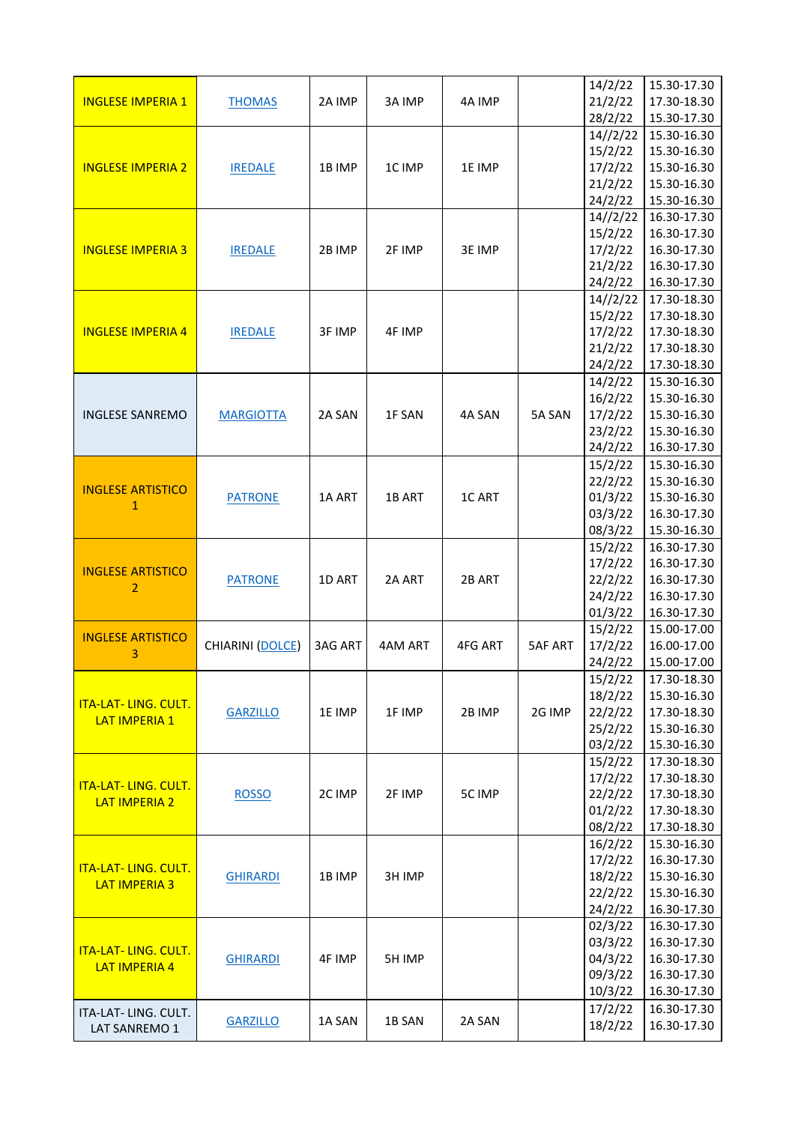|                             |                  |                |         |         |                | 14/2/22            | 15.30-17.30                |
|-----------------------------|------------------|----------------|---------|---------|----------------|--------------------|----------------------------|
| <b>INGLESE IMPERIA 1</b>    | <b>THOMAS</b>    | 2A IMP         | 3A IMP  | 4A IMP  |                | 21/2/22            | 17.30-18.30                |
|                             |                  |                |         |         |                | 28/2/22            | 15.30-17.30                |
|                             |                  |                |         |         |                | 14//2/22           | 15.30-16.30                |
|                             |                  |                |         |         |                | 15/2/22            | 15.30-16.30                |
| <b>INGLESE IMPERIA 2</b>    | <b>IREDALE</b>   | 1B IMP         | 1C IMP  | 1E IMP  |                | 17/2/22            | 15.30-16.30                |
|                             |                  |                |         |         |                | 21/2/22            | 15.30-16.30                |
|                             |                  |                |         |         |                | 24/2/22            | 15.30-16.30                |
|                             |                  |                |         |         |                | 14//2/22           | 16.30-17.30                |
|                             |                  |                |         |         |                | 15/2/22            | 16.30-17.30                |
| <b>INGLESE IMPERIA 3</b>    | <b>IREDALE</b>   | 2B IMP         | 2F IMP  | 3E IMP  |                | 17/2/22            | 16.30-17.30                |
|                             |                  |                |         |         |                | 21/2/22            | 16.30-17.30                |
|                             |                  |                |         |         |                | 24/2/22            | 16.30-17.30                |
|                             |                  |                |         |         |                | 14//2/22           | 17.30-18.30                |
| <b>INGLESE IMPERIA 4</b>    |                  | 3F IMP         |         |         |                | 15/2/22<br>17/2/22 | 17.30-18.30<br>17.30-18.30 |
|                             | <b>IREDALE</b>   |                | 4F IMP  |         |                | 21/2/22            | 17.30-18.30                |
|                             |                  |                |         |         |                | 24/2/22            | 17.30-18.30                |
|                             |                  |                |         |         |                | 14/2/22            | 15.30-16.30                |
|                             |                  |                |         |         |                | 16/2/22            | 15.30-16.30                |
| <b>INGLESE SANREMO</b>      | <b>MARGIOTTA</b> | 2A SAN         | 1F SAN  | 4A SAN  | 5A SAN         | 17/2/22            | 15.30-16.30                |
|                             |                  |                |         |         |                | 23/2/22            | 15.30-16.30                |
|                             |                  |                |         |         |                | 24/2/22            | 16.30-17.30                |
|                             |                  |                |         |         |                | 15/2/22            | 15.30-16.30                |
|                             |                  |                |         |         |                | 22/2/22            | 15.30-16.30                |
| <b>INGLESE ARTISTICO</b>    | <b>PATRONE</b>   | 1A ART         | 1B ART  | 1C ART  |                | 01/3/22            | 15.30-16.30                |
| $\mathbf{1}$                |                  |                |         |         |                | 03/3/22            | 16.30-17.30                |
|                             |                  |                |         |         |                | 08/3/22            | 15.30-16.30                |
|                             |                  |                |         |         |                | 15/2/22            | 16.30-17.30                |
|                             |                  |                |         |         |                | 17/2/22            | 16.30-17.30                |
| <b>INGLESE ARTISTICO</b>    | <b>PATRONE</b>   | 1D ART         | 2A ART  | 2B ART  |                | 22/2/22            | 16.30-17.30                |
| $\overline{2}$              |                  |                |         |         |                | 24/2/22            | 16.30-17.30                |
|                             |                  |                |         |         |                | 01/3/22            | 16.30-17.30                |
|                             |                  |                |         |         |                | 15/2/22            | 15.00-17.00                |
| <b>INGLESE ARTISTICO</b>    | CHIARINI (DOLCE) | <b>3AG ART</b> | 4AM ART | 4FG ART | <b>5AF ART</b> | 17/2/22            | 16.00-17.00                |
| 3                           |                  |                |         |         |                | 24/2/22            | 15.00-17.00                |
|                             |                  |                |         |         |                | 15/2/22            | 17.30-18.30                |
|                             | <b>GARZILLO</b>  | 1E IMP         | 1F IMP  |         |                | 18/2/22            | 15.30-16.30                |
| <b>ITA-LAT-LING. CULT.</b>  |                  |                |         | 2B IMP  | 2G IMP         | 22/2/22            | 17.30-18.30                |
| <b>LAT IMPERIA 1</b>        |                  |                |         |         |                | 25/2/22            | 15.30-16.30                |
|                             |                  |                |         |         |                | 03/2/22            | 15.30-16.30                |
|                             |                  |                |         |         |                | 15/2/22            | 17.30-18.30                |
| <b>ITA-LAT- LING. CULT.</b> |                  |                |         |         |                | 17/2/22            | 17.30-18.30                |
| <b>LAT IMPERIA 2</b>        | <b>ROSSO</b>     | 2C IMP         | 2F IMP  | 5C IMP  |                | 22/2/22            | 17.30-18.30                |
|                             |                  |                |         |         |                | 01/2/22            | 17.30-18.30                |
|                             |                  |                |         |         |                | 08/2/22            | 17.30-18.30                |
|                             |                  |                |         |         |                | 16/2/22            | 15.30-16.30                |
| <b>ITA-LAT- LING. CULT.</b> |                  |                |         |         |                | 17/2/22            | 16.30-17.30                |
| <b>LAT IMPERIA 3</b>        | <b>GHIRARDI</b>  | 1B IMP         | 3H IMP  |         |                | 18/2/22            | 15.30-16.30                |
|                             |                  |                |         |         |                | 22/2/22            | 15.30-16.30                |
|                             |                  |                |         |         |                | 24/2/22            | 16.30-17.30                |
|                             |                  |                |         |         |                | 02/3/22            | 16.30-17.30                |
| <b>ITA-LAT- LING. CULT.</b> |                  |                |         |         |                | 03/3/22            | 16.30-17.30                |
| <b>LAT IMPERIA 4</b>        | <b>GHIRARDI</b>  | 4F IMP         | 5H IMP  |         |                | 04/3/22            | 16.30-17.30                |
|                             |                  |                |         |         |                | 09/3/22            | 16.30-17.30                |
|                             |                  |                |         |         |                | 10/3/22            | 16.30-17.30                |
| ITA-LAT- LING. CULT.        | <b>GARZILLO</b>  | 1A SAN         | 1B SAN  | 2A SAN  |                | 17/2/22            | 16.30-17.30                |
| LAT SANREMO 1               |                  |                |         |         |                | 18/2/22            | 16.30-17.30                |